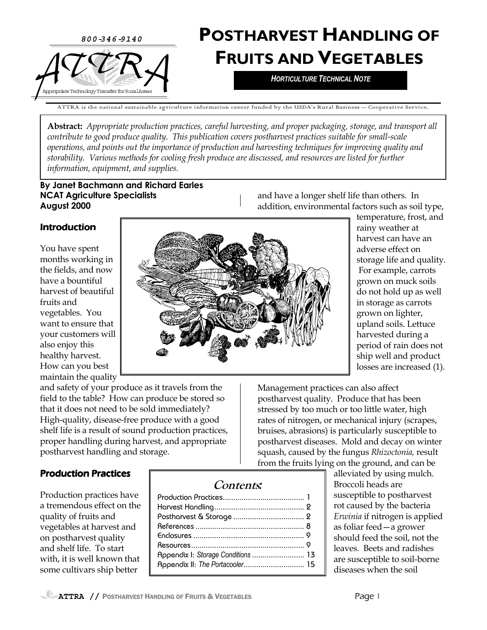

ATTRA is the national sustainable agriculture information center funded by the USDA's Rural Business -- Cooperative Service.

**Abstract:** *Appropriate production practices, careful harvesting, and proper packaging, storage, and transport all contribute to good produce quality. This publication covers postharvest practices suitable for small-scale operations, and points out the importance of production and harvesting techniques for improving quality and storability. Various methods for cooling fresh produce are discussed, and resources are listed for further information, equipment, and supplies.*

#### **By Janet Bachmann and Richard Earles NCAT Agriculture Specialists August 2000**

and have a longer shelf life than others. In addition, environmental factors such as soil type,

#### Introduction

You have spent months working in the fields, and now have a bountiful harvest of beautiful fruits and vegetables. You want to ensure that your customers will also enjoy this healthy harvest. How can you best maintain the quality

and safety of your produce as it travels from the field to the table? How can produce be stored so that it does not need to be sold immediately? High-quality, disease-free produce with a good shelf life is a result of sound production practices, proper handling during harvest, and appropriate postharvest handling and storage.



temperature, frost, and rainy weather at harvest can have an adverse effect on storage life and quality. For example, carrots grown on muck soils do not hold up as well in storage as carrots grown on lighter, upland soils. Lettuce harvested during a period of rain does not ship well and product losses are increased (1).

Management practices can also affect postharvest quality. Produce that has been stressed by too much or too little water, high rates of nitrogen, or mechanical injury (scrapes, bruises, abrasions) is particularly susceptible to postharvest diseases. Mold and decay on winter squash, caused by the fungus *Rhizoctonia,* result from the fruits lying on the ground, and can be

## Production Practices

Production practices have a tremendous effect on the quality of fruits and vegetables at harvest and on postharvest quality and shelf life. To start with, it is well known that some cultivars ship better

# Contents*:*

| Appendix I: Storage Conditions  13 |  |
|------------------------------------|--|
| Appendix II: The Portacooler 15    |  |
|                                    |  |

alleviated by using mulch. Broccoli heads are susceptible to postharvest rot caused by the bacteria *Erwinia* if nitrogen is applied as foliar feed—a grower should feed the soil, not the leaves. Beets and radishes are susceptible to soil-borne diseases when the soil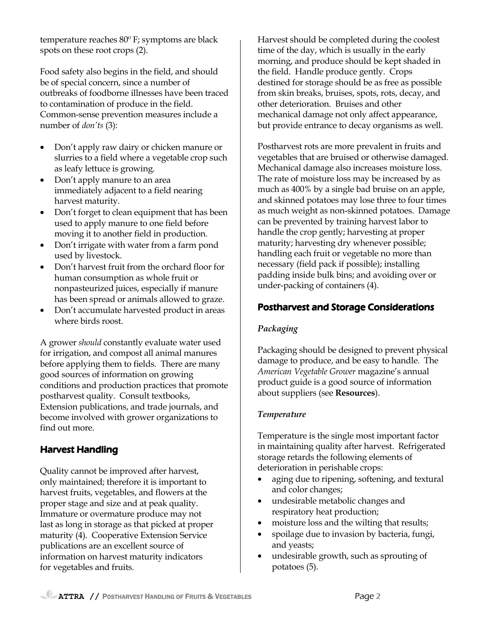temperature reaches 80º F; symptoms are black spots on these root crops (2).

Food safety also begins in the field, and should be of special concern, since a number of outbreaks of foodborne illnesses have been traced to contamination of produce in the field. Common-sense prevention measures include a number of *don'ts* (3):

- Don't apply raw dairy or chicken manure or slurries to a field where a vegetable crop such as leafy lettuce is growing.
- Don't apply manure to an area immediately adjacent to a field nearing harvest maturity.
- Don't forget to clean equipment that has been used to apply manure to one field before moving it to another field in production.
- Don't irrigate with water from a farm pond used by livestock.
- Don't harvest fruit from the orchard floor for human consumption as whole fruit or nonpasteurized juices, especially if manure has been spread or animals allowed to graze.
- Don't accumulate harvested product in areas where birds roost.

A grower *should* constantly evaluate water used for irrigation, and compost all animal manures before applying them to fields. There are many good sources of information on growing conditions and production practices that promote postharvest quality. Consult textbooks, Extension publications, and trade journals, and become involved with grower organizations to find out more.

# Harvest Handling

Quality cannot be improved after harvest, only maintained; therefore it is important to harvest fruits, vegetables, and flowers at the proper stage and size and at peak quality. Immature or overmature produce may not last as long in storage as that picked at proper maturity (4). Cooperative Extension Service publications are an excellent source of information on harvest maturity indicators for vegetables and fruits.

Harvest should be completed during the coolest time of the day, which is usually in the early morning, and produce should be kept shaded in the field. Handle produce gently. Crops destined for storage should be as free as possible from skin breaks, bruises, spots, rots, decay, and other deterioration. Bruises and other mechanical damage not only affect appearance, but provide entrance to decay organisms as well.

Postharvest rots are more prevalent in fruits and vegetables that are bruised or otherwise damaged. Mechanical damage also increases moisture loss. The rate of moisture loss may be increased by as much as 400% by a single bad bruise on an apple, and skinned potatoes may lose three to four times as much weight as non-skinned potatoes. Damage can be prevented by training harvest labor to handle the crop gently; harvesting at proper maturity; harvesting dry whenever possible; handling each fruit or vegetable no more than necessary (field pack if possible); installing padding inside bulk bins; and avoiding over or under-packing of containers (4).

# Postharvest and Storage Considerations

## *Packaging*

Packaging should be designed to prevent physical damage to produce, and be easy to handle. The *American Vegetable Grower* magazine's annual product guide is a good source of information about suppliers (see **Resources**).

## *Temperature*

Temperature is the single most important factor in maintaining quality after harvest. Refrigerated storage retards the following elements of deterioration in perishable crops:

- aging due to ripening, softening, and textural and color changes;
- undesirable metabolic changes and respiratory heat production;
- moisture loss and the wilting that results;
- spoilage due to invasion by bacteria, fungi, and yeasts;
- undesirable growth, such as sprouting of potatoes (5).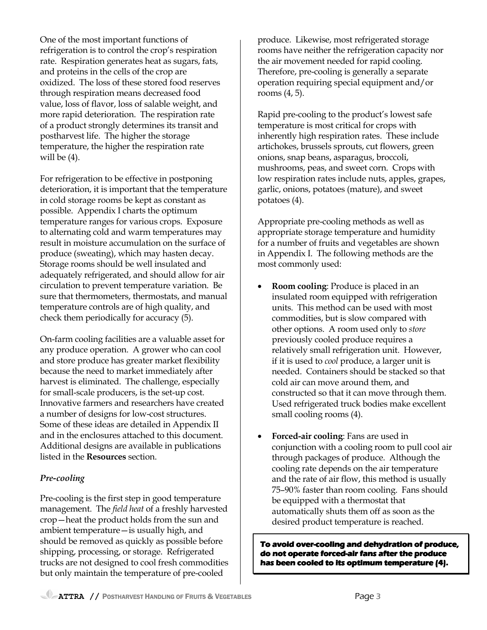One of the most important functions of refrigeration is to control the crop's respiration rate. Respiration generates heat as sugars, fats, and proteins in the cells of the crop are oxidized. The loss of these stored food reserves through respiration means decreased food value, loss of flavor, loss of salable weight, and more rapid deterioration. The respiration rate of a product strongly determines its transit and postharvest life. The higher the storage temperature, the higher the respiration rate will be (4).

For refrigeration to be effective in postponing deterioration, it is important that the temperature in cold storage rooms be kept as constant as possible. Appendix I charts the optimum temperature ranges for various crops. Exposure to alternating cold and warm temperatures may result in moisture accumulation on the surface of produce (sweating), which may hasten decay. Storage rooms should be well insulated and adequately refrigerated, and should allow for air circulation to prevent temperature variation. Be sure that thermometers, thermostats, and manual temperature controls are of high quality, and check them periodically for accuracy (5).

On-farm cooling facilities are a valuable asset for any produce operation. A grower who can cool and store produce has greater market flexibility because the need to market immediately after harvest is eliminated. The challenge, especially for small-scale producers, is the set-up cost. Innovative farmers and researchers have created a number of designs for low-cost structures. Some of these ideas are detailed in Appendix II and in the enclosures attached to this document. Additional designs are available in publications listed in the **Resources** section.

## *Pre-cooling*

Pre-cooling is the first step in good temperature management. The *field heat* of a freshly harvested crop—heat the product holds from the sun and ambient temperature—is usually high, and should be removed as quickly as possible before shipping, processing, or storage. Refrigerated trucks are not designed to cool fresh commodities but only maintain the temperature of pre-cooled

produce. Likewise, most refrigerated storage rooms have neither the refrigeration capacity nor the air movement needed for rapid cooling. Therefore, pre-cooling is generally a separate operation requiring special equipment and/or rooms (4, 5).

Rapid pre-cooling to the product's lowest safe temperature is most critical for crops with inherently high respiration rates. These include artichokes, brussels sprouts, cut flowers, green onions, snap beans, asparagus, broccoli, mushrooms, peas, and sweet corn. Crops with low respiration rates include nuts, apples, grapes, garlic, onions, potatoes (mature), and sweet potatoes (4).

Appropriate pre-cooling methods as well as appropriate storage temperature and humidity for a number of fruits and vegetables are shown in Appendix I. The following methods are the most commonly used:

- **Room cooling**: Produce is placed in an insulated room equipped with refrigeration units. This method can be used with most commodities, but is slow compared with other options. A room used only to *store* previously cooled produce requires a relatively small refrigeration unit. However, if it is used to *cool* produce, a larger unit is needed. Containers should be stacked so that cold air can move around them, and constructed so that it can move through them. Used refrigerated truck bodies make excellent small cooling rooms (4).
- **Forced-air cooling**: Fans are used in conjunction with a cooling room to pull cool air through packages of produce. Although the cooling rate depends on the air temperature and the rate of air flow, this method is usually 75–90% faster than room cooling. Fans should be equipped with a thermostat that automatically shuts them off as soon as the desired product temperature is reached.

**To avoid over-cooling and dehydration of produce, do not operate forced-air fans after the produce has been cooled to its optimum temperature (4).**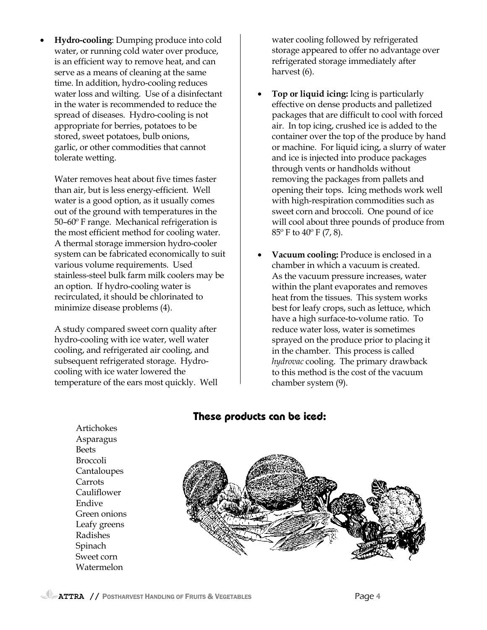• **Hydro-cooling**: Dumping produce into cold water, or running cold water over produce, is an efficient way to remove heat, and can serve as a means of cleaning at the same time. In addition, hydro-cooling reduces water loss and wilting. Use of a disinfectant in the water is recommended to reduce the spread of diseases. Hydro-cooling is not appropriate for berries, potatoes to be stored, sweet potatoes, bulb onions, garlic, or other commodities that cannot tolerate wetting.

Water removes heat about five times faster than air, but is less energy-efficient. Well water is a good option, as it usually comes out of the ground with temperatures in the 50–60º F range. Mechanical refrigeration is the most efficient method for cooling water. A thermal storage immersion hydro-cooler system can be fabricated economically to suit various volume requirements. Used stainless-steel bulk farm milk coolers may be an option. If hydro-cooling water is recirculated, it should be chlorinated to minimize disease problems (4).

A study compared sweet corn quality after hydro-cooling with ice water, well water cooling, and refrigerated air cooling, and subsequent refrigerated storage. Hydrocooling with ice water lowered the temperature of the ears most quickly. Well

> Artichokes Asparagus Beets Broccoli Cantaloupes **Carrots** Cauliflower Endive

Green onions Leafy greens Radishes Spinach Sweet corn Watermelon

water cooling followed by refrigerated storage appeared to offer no advantage over refrigerated storage immediately after harvest (6).

- **Top or liquid icing:** Icing is particularly effective on dense products and palletized packages that are difficult to cool with forced air. In top icing, crushed ice is added to the container over the top of the produce by hand or machine. For liquid icing, a slurry of water and ice is injected into produce packages through vents or handholds without removing the packages from pallets and opening their tops. Icing methods work well with high-respiration commodities such as sweet corn and broccoli. One pound of ice will cool about three pounds of produce from 85º F to 40º F (7, 8).
- **Vacuum cooling:** Produce is enclosed in a chamber in which a vacuum is created. As the vacuum pressure increases, water within the plant evaporates and removes heat from the tissues. This system works best for leafy crops, such as lettuce, which have a high surface-to-volume ratio. To reduce water loss, water is sometimes sprayed on the produce prior to placing it in the chamber. This process is called *hydrovac* cooling. The primary drawback to this method is the cost of the vacuum chamber system (9).



#### **These products can be iced:**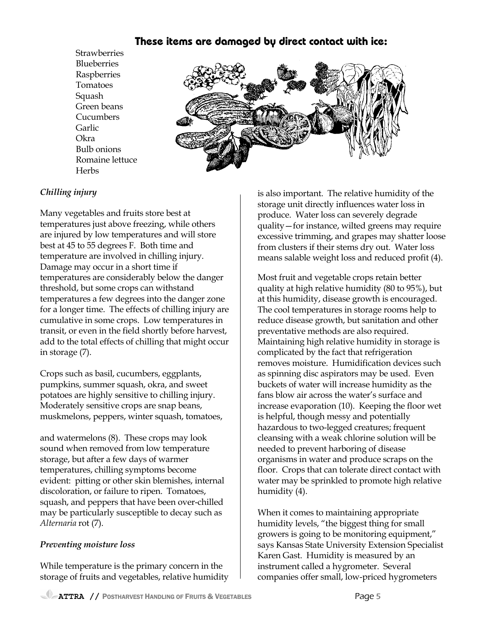# **These items are damaged by direct contact with ice:**

**Strawberries** Blueberries Raspberries Tomatoes Squash Green beans **Cucumbers** Garlic Okra Bulb onions Romaine lettuce **Herbs** 



## *Chilling injury*

Many vegetables and fruits store best at temperatures just above freezing, while others are injured by low temperatures and will store best at 45 to 55 degrees F. Both time and temperature are involved in chilling injury. Damage may occur in a short time if temperatures are considerably below the danger threshold, but some crops can withstand temperatures a few degrees into the danger zone for a longer time. The effects of chilling injury are cumulative in some crops. Low temperatures in transit, or even in the field shortly before harvest, add to the total effects of chilling that might occur in storage (7).

Crops such as basil, cucumbers, eggplants, pumpkins, summer squash, okra, and sweet potatoes are highly sensitive to chilling injury. Moderately sensitive crops are snap beans, muskmelons, peppers, winter squash, tomatoes,

and watermelons (8). These crops may look sound when removed from low temperature storage, but after a few days of warmer temperatures, chilling symptoms become evident: pitting or other skin blemishes, internal discoloration, or failure to ripen. Tomatoes, squash, and peppers that have been over-chilled may be particularly susceptible to decay such as *Alternaria* rot (7).

#### *Preventing moisture loss*

While temperature is the primary concern in the storage of fruits and vegetables, relative humidity

is also important. The relative humidity of the storage unit directly influences water loss in produce. Water loss can severely degrade quality—for instance, wilted greens may require excessive trimming, and grapes may shatter loose from clusters if their stems dry out. Water loss means salable weight loss and reduced profit (4).

Most fruit and vegetable crops retain better quality at high relative humidity (80 to 95%), but at this humidity, disease growth is encouraged. The cool temperatures in storage rooms help to reduce disease growth, but sanitation and other preventative methods are also required. Maintaining high relative humidity in storage is complicated by the fact that refrigeration removes moisture. Humidification devices such as spinning disc aspirators may be used. Even buckets of water will increase humidity as the fans blow air across the water's surface and increase evaporation (10). Keeping the floor wet is helpful, though messy and potentially hazardous to two-legged creatures; frequent cleansing with a weak chlorine solution will be needed to prevent harboring of disease organisms in water and produce scraps on the floor. Crops that can tolerate direct contact with water may be sprinkled to promote high relative humidity (4).

When it comes to maintaining appropriate humidity levels, "the biggest thing for small growers is going to be monitoring equipment," says Kansas State University Extension Specialist Karen Gast. Humidity is measured by an instrument called a hygrometer. Several companies offer small, low-priced hygrometers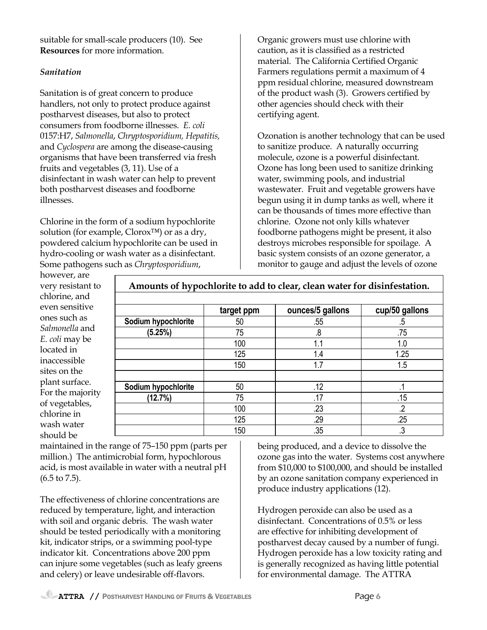suitable for small-scale producers (10). See **Resources** for more information.

### *Sanitation*

Sanitation is of great concern to produce handlers, not only to protect produce against postharvest diseases, but also to protect consumers from foodborne illnesses. *E. coli* 0157:H7, *Salmonella*, *Chryptosporidium, Hepatitis,* and *Cyclospera* are among the disease-causing organisms that have been transferred via fresh fruits and vegetables (3, 11). Use of a disinfectant in wash water can help to prevent both postharvest diseases and foodborne illnesses.

Chlorine in the form of a sodium hypochlorite solution (for example, Clorox<sup>™</sup>) or as a dry, powdered calcium hypochlorite can be used in hydro-cooling or wash water as a disinfectant. Some pathogens such as *Chryptosporidium*,

Organic growers must use chlorine with caution, as it is classified as a restricted material. The California Certified Organic Farmers regulations permit a maximum of 4 ppm residual chlorine, measured downstream of the product wash (3). Growers certified by other agencies should check with their certifying agent.

Ozonation is another technology that can be used to sanitize produce. A naturally occurring molecule, ozone is a powerful disinfectant. Ozone has long been used to sanitize drinking water, swimming pools, and industrial wastewater. Fruit and vegetable growers have begun using it in dump tanks as well, where it can be thousands of times more effective than chlorine. Ozone not only kills whatever foodborne pathogens might be present, it also destroys microbes responsible for spoilage. A basic system consists of an ozone generator, a monitor to gauge and adjust the levels of ozone

however, are very resistant to chlorine, and even sensitive ones such as *Salmonella* and *E. coli* may be located in inaccessible sites on the plant surface. For the majority of vegetables, chlorine in wash water should be

|                     | target ppm | ounces/5 gallons | cup/50 gallons |  |  |
|---------------------|------------|------------------|----------------|--|--|
| Sodium hypochlorite | 50         | .55              | .5             |  |  |
| (5.25%)             | 75         | .8               | .75            |  |  |
|                     | 100        | 1.1              | 1.0            |  |  |
|                     | 125        | 1.4              | 1.25           |  |  |
|                     | 150        | 1.7              | 1.5            |  |  |
|                     |            |                  |                |  |  |
| Sodium hypochlorite | 50         | .12              |                |  |  |
| (12.7%)             | 75         | .17              | .15            |  |  |
|                     | 100        | .23              | $\overline{2}$ |  |  |
|                     | 125        | .29              | .25            |  |  |
|                     | 150        | .35              | .3             |  |  |

**Amounts of hypochlorite to add to clear, clean water for disinfestation.**

maintained in the range of 75–150 ppm (parts per million.) The antimicrobial form, hypochlorous acid, is most available in water with a neutral pH (6.5 to 7.5).

The effectiveness of chlorine concentrations are reduced by temperature, light, and interaction with soil and organic debris. The wash water should be tested periodically with a monitoring kit, indicator strips, or a swimming pool-type indicator kit. Concentrations above 200 ppm can injure some vegetables (such as leafy greens and celery) or leave undesirable off-flavors.

being produced, and a device to dissolve the ozone gas into the water. Systems cost anywhere from \$10,000 to \$100,000, and should be installed by an ozone sanitation company experienced in produce industry applications (12).

Hydrogen peroxide can also be used as a disinfectant. Concentrations of 0.5% or less are effective for inhibiting development of postharvest decay caused by a number of fungi. Hydrogen peroxide has a low toxicity rating and is generally recognized as having little potential for environmental damage. The ATTRA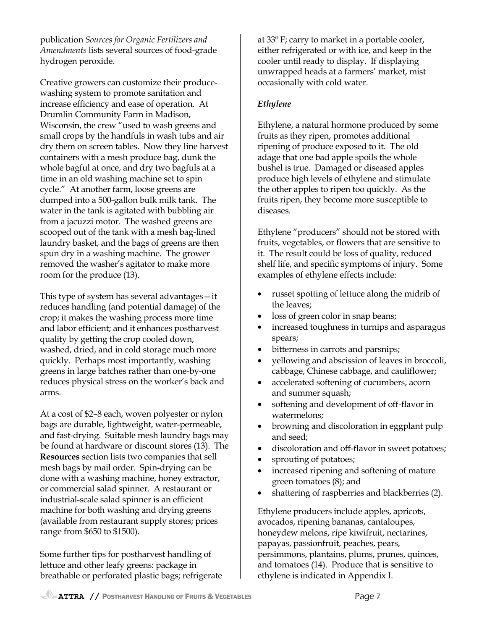publication *Sources for Organic Fertilizers and Amendments* lists several sources of food-grade hydrogen peroxide.

Creative growers can customize their producewashing system to promote sanitation and increase efficiency and ease of operation. At Drumlin Community Farm in Madison, Wisconsin, the crew "used to wash greens and small crops by the handfuls in wash tubs and air dry them on screen tables. Now they line harvest containers with a mesh produce bag, dunk the whole bagful at once, and dry two bagfuls at a time in an old washing machine set to spin cycle." At another farm, loose greens are dumped into a 500-gallon bulk milk tank. The water in the tank is agitated with bubbling air from a jacuzzi motor. The washed greens are scooped out of the tank with a mesh bag-lined laundry basket, and the bags of greens are then spun dry in a washing machine. The grower removed the washer's agitator to make more room for the produce (13).

This type of system has several advantages—it reduces handling (and potential damage) of the crop; it makes the washing process more time and labor efficient; and it enhances postharvest quality by getting the crop cooled down, washed, dried, and in cold storage much more quickly. Perhaps most importantly, washing greens in large batches rather than one-by-one reduces physical stress on the worker's back and arms.

At a cost of \$2–8 each, woven polyester or nylon bags are durable, lightweight, water-permeable, and fast-drying. Suitable mesh laundry bags may be found at hardware or discount stores (13). The **Resources** section lists two companies that sell mesh bags by mail order. Spin-drying can be done with a washing machine, honey extractor, or commercial salad spinner. A restaurant or industrial-scale salad spinner is an efficient machine for both washing and drying greens (available from restaurant supply stores; prices range from \$650 to \$1500).

Some further tips for postharvest handling of lettuce and other leafy greens: package in breathable or perforated plastic bags; refrigerate

at 33º F; carry to market in a portable cooler, either refrigerated or with ice, and keep in the cooler until ready to display. If displaying unwrapped heads at a farmers' market, mist occasionally with cold water.

## *Ethylene*

Ethylene, a natural hormone produced by some fruits as they ripen, promotes additional ripening of produce exposed to it. The old adage that one bad apple spoils the whole bushel is true. Damaged or diseased apples produce high levels of ethylene and stimulate the other apples to ripen too quickly. As the fruits ripen, they become more susceptible to diseases.

Ethylene "producers" should not be stored with fruits, vegetables, or flowers that are sensitive to it. The result could be loss of quality, reduced shelf life, and specific symptoms of injury. Some examples of ethylene effects include:

- russet spotting of lettuce along the midrib of the leaves;
- loss of green color in snap beans;
- increased toughness in turnips and asparagus spears;
- bitterness in carrots and parsnips;
- yellowing and abscission of leaves in broccoli, cabbage, Chinese cabbage, and cauliflower;
- accelerated softening of cucumbers, acorn and summer squash;
- softening and development of off-flavor in watermelons;
- browning and discoloration in eggplant pulp and seed;
- discoloration and off-flavor in sweet potatoes;
- sprouting of potatoes;
- increased ripening and softening of mature green tomatoes (8); and
- shattering of raspberries and blackberries (2).

Ethylene producers include apples, apricots, avocados, ripening bananas, cantaloupes, honeydew melons, ripe kiwifruit, nectarines, papayas, passionfruit, peaches, pears, persimmons, plantains, plums, prunes, quinces, and tomatoes (14). Produce that is sensitive to ethylene is indicated in Appendix I.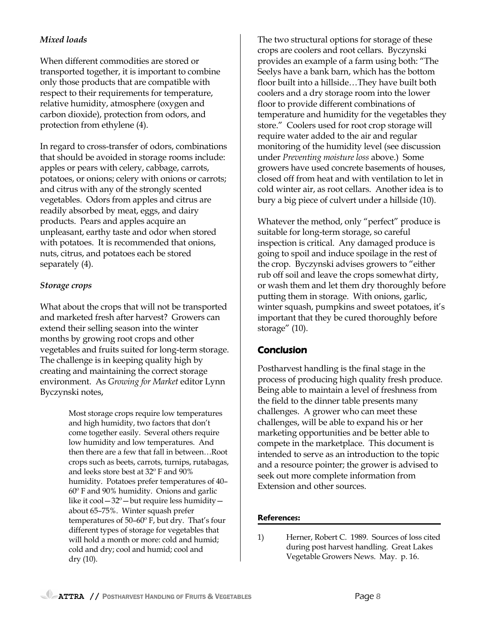## *Mixed loads*

When different commodities are stored or transported together, it is important to combine only those products that are compatible with respect to their requirements for temperature, relative humidity, atmosphere (oxygen and carbon dioxide), protection from odors, and protection from ethylene (4).

In regard to cross-transfer of odors, combinations that should be avoided in storage rooms include: apples or pears with celery, cabbage, carrots, potatoes, or onions; celery with onions or carrots; and citrus with any of the strongly scented vegetables. Odors from apples and citrus are readily absorbed by meat, eggs, and dairy products. Pears and apples acquire an unpleasant, earthy taste and odor when stored with potatoes. It is recommended that onions, nuts, citrus, and potatoes each be stored separately (4).

#### *Storage crops*

What about the crops that will not be transported and marketed fresh after harvest? Growers can extend their selling season into the winter months by growing root crops and other vegetables and fruits suited for long-term storage. The challenge is in keeping quality high by creating and maintaining the correct storage environment. As *Growing for Market* editor Lynn Byczynski notes,

> Most storage crops require low temperatures and high humidity, two factors that don't come together easily. Several others require low humidity and low temperatures. And then there are a few that fall in between…Root crops such as beets, carrots, turnips, rutabagas, and leeks store best at 32º F and 90% humidity. Potatoes prefer temperatures of 40– 60º F and 90% humidity. Onions and garlic like it cool—32º—but require less humidity about 65–75%. Winter squash prefer temperatures of 50–60º F, but dry. That's four different types of storage for vegetables that will hold a month or more: cold and humid; cold and dry; cool and humid; cool and dry (10).

The two structural options for storage of these crops are coolers and root cellars. Byczynski provides an example of a farm using both: "The Seelys have a bank barn, which has the bottom floor built into a hillside…They have built both coolers and a dry storage room into the lower floor to provide different combinations of temperature and humidity for the vegetables they store." Coolers used for root crop storage will require water added to the air and regular monitoring of the humidity level (see discussion under *Preventing moisture loss* above.) Some growers have used concrete basements of houses, closed off from heat and with ventilation to let in cold winter air, as root cellars. Another idea is to bury a big piece of culvert under a hillside (10).

Whatever the method, only "perfect" produce is suitable for long-term storage, so careful inspection is critical. Any damaged produce is going to spoil and induce spoilage in the rest of the crop. Byczynski advises growers to "either rub off soil and leave the crops somewhat dirty, or wash them and let them dry thoroughly before putting them in storage. With onions, garlic, winter squash, pumpkins and sweet potatoes, it's important that they be cured thoroughly before storage" (10).

## Conclusion

Postharvest handling is the final stage in the process of producing high quality fresh produce. Being able to maintain a level of freshness from the field to the dinner table presents many challenges. A grower who can meet these challenges, will be able to expand his or her marketing opportunities and be better able to compete in the marketplace. This document is intended to serve as an introduction to the topic and a resource pointer; the grower is advised to seek out more complete information from Extension and other sources.

#### **References:**

1) Herner, Robert C. 1989. Sources of loss cited during post harvest handling. Great Lakes Vegetable Growers News. May. p. 16.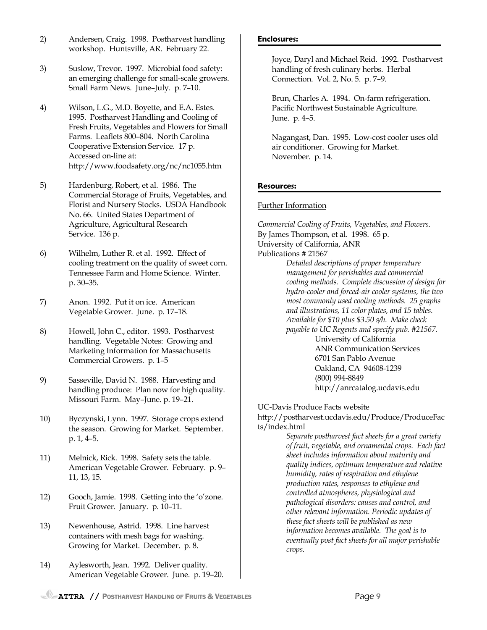- 2) Andersen, Craig. 1998. Postharvest handling workshop. Huntsville, AR. February 22.
- 3) Suslow, Trevor. 1997. Microbial food safety: an emerging challenge for small-scale growers. Small Farm News. June–July. p. 7–10.
- 4) Wilson, L.G., M.D. Boyette, and E.A. Estes. 1995. Postharvest Handling and Cooling of Fresh Fruits, Vegetables and Flowers for Small Farms. Leaflets 800–804. North Carolina Cooperative Extension Service. 17 p. Accessed on-line at: http://www.foodsafety.org/nc/nc1055.htm
- 5) Hardenburg, Robert, et al. 1986. The Commercial Storage of Fruits, Vegetables, and Florist and Nursery Stocks. USDA Handbook No. 66. United States Department of Agriculture, Agricultural Research Service. 136 p.
- 6) Wilhelm, Luther R. et al. 1992. Effect of cooling treatment on the quality of sweet corn. Tennessee Farm and Home Science. Winter. p. 30–35.
- 7) Anon. 1992. Put it on ice. American Vegetable Grower. June. p. 17–18.
- 8) Howell, John C., editor. 1993. Postharvest handling. Vegetable Notes: Growing and Marketing Information for Massachusetts Commercial Growers. p. 1–5
- 9) Sasseville, David N. 1988. Harvesting and handling produce: Plan now for high quality. Missouri Farm. May–June. p. 19–21.
- 10) Byczynski, Lynn. 1997. Storage crops extend the season. Growing for Market. September. p. 1, 4–5.
- 11) Melnick, Rick. 1998. Safety sets the table. American Vegetable Grower. February. p. 9– 11, 13, 15.
- 12) Gooch, Jamie. 1998. Getting into the 'o'zone. Fruit Grower. January. p. 10–11.
- 13) Newenhouse, Astrid. 1998. Line harvest containers with mesh bags for washing. Growing for Market. December. p. 8.
- 14) Aylesworth, Jean. 1992. Deliver quality. American Vegetable Grower. June. p. 19–20.

#### **Enclosures:**

Joyce, Daryl and Michael Reid. 1992. Postharvest handling of fresh culinary herbs. Herbal Connection. Vol. 2, No. 5. p. 7–9.

Brun, Charles A. 1994. On-farm refrigeration. Pacific Northwest Sustainable Agriculture. June. p. 4–5.

Nagangast, Dan. 1995. Low-cost cooler uses old air conditioner. Growing for Market. November. p. 14.

#### **Resources:**

#### Further Information

*Commercial Cooling of Fruits, Vegetables, and Flowers.* By James Thompson, et al. 1998. 65 p. University of California, ANR Publications # 21567 *Detailed descriptions of proper temperature*

*management for perishables and commercial cooling methods. Complete discussion of design for hydro-cooler and forced-air cooler systems, the two most commonly used cooling methods. 25 graphs and illustrations, 11 color plates, and 15 tables. Available for \$10 plus \$3.50 s/h. Make check payable to UC Regents and specify pub. #21567.*

University of California ANR Communication Services 6701 San Pablo Avenue Oakland, CA 94608-1239 (800) 994-8849 http://anrcatalog.ucdavis.edu

#### UC-Davis Produce Facts website

http://postharvest.ucdavis.edu/Produce/ProduceFac ts/index.html

*Separate postharvest fact sheets for a great variety of fruit, vegetable, and ornamental crops. Each fact sheet includes information about maturity and quality indices, optimum temperature and relative humidity, rates of respiration and ethylene production rates, responses to ethylene and controlled atmospheres, physiological and pathological disorders: causes and control, and other relevant information. Periodic updates of these fact sheets will be published as new information becomes available. The goal is to eventually post fact sheets for all major perishable crops.*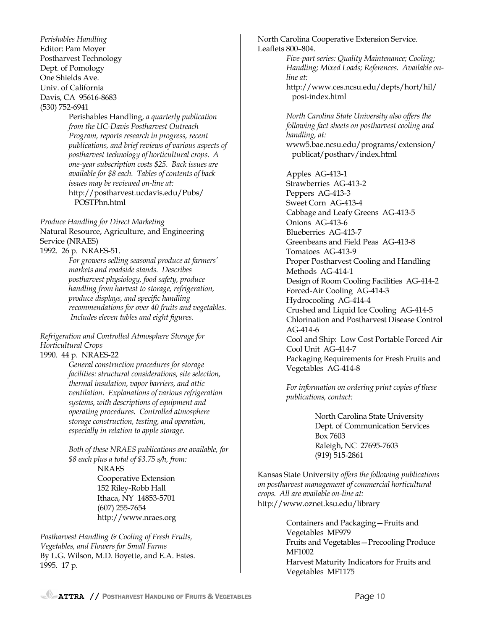*Perishables Handling* Editor: Pam Moyer Postharvest Technology Dept. of Pomology One Shields Ave. Univ. of California Davis, CA 95616-8683 (530) 752-6941

> Perishables Handling, *a quarterly publication from the UC-Davis Postharvest Outreach Program, reports research in progress, recent publications, and brief reviews of various aspects of postharvest technology of horticultural crops. A one-year subscription costs \$25. Back issues are available for \$8 each. Tables of contents of back issues may be reviewed on-line at:*  http://postharvest.ucdavis.edu/Pubs/ POSTPhn.html

*Produce Handling for Direct Marketing* Natural Resource, Agriculture, and Engineering Service (NRAES)

1992. 26 p. NRAES-51.

*For growers selling seasonal produce at farmers' markets and roadside stands. Describes postharvest physiology, food safety, produce handling from harvest to storage, refrigeration, produce displays, and specific handling recommendations for over 40 fruits and vegetables. Includes eleven tables and eight figures.*

*Refrigeration and Controlled Atmosphere Storage for Horticultural Crops*

1990. 44 p. NRAES-22

*General construction procedures for storage facilities: structural considerations, site selection, thermal insulation, vapor barriers, and attic ventilation. Explanations of various refrigeration systems, with descriptions of equipment and operating procedures. Controlled atmosphere storage construction, testing, and operation, especially in relation to apple storage.*

*Both of these NRAES publications are available, for \$8 each plus a total of \$3.75 s/h, from:* **NRAES** 

Cooperative Extension 152 Riley-Robb Hall Ithaca, NY 14853-5701 (607) 255-7654 http://www.nraes.org

*Postharvest Handling & Cooling of Fresh Fruits, Vegetables, and Flowers for Small Farms* By L.G. Wilson, M.D. Boyette, and E.A. Estes. 1995. 17 p.

North Carolina Cooperative Extension Service. Leaflets 800–804. *Five-part series: Quality Maintenance; Cooling; Handling; Mixed Loads; References. Available online at:* http://www.ces.ncsu.edu/depts/hort/hil/ post-index.html

> *North Carolina State University also offers the following fact sheets on postharvest cooling and handling, at:* www5.bae.ncsu.edu/programs/extension/ publicat/postharv/index.html

Apples AG-413-1 Strawberries AG-413-2 Peppers AG-413-3 Sweet Corn AG-413-4 Cabbage and Leafy Greens AG-413-5 Onions AG-413-6 Blueberries AG-413-7 Greenbeans and Field Peas AG-413-8 Tomatoes AG-413-9 Proper Postharvest Cooling and Handling Methods AG-414-1 Design of Room Cooling Facilities AG-414-2 Forced-Air Cooling AG-414-3 Hydrocooling AG-414-4 Crushed and Liquid Ice Cooling AG-414-5 Chlorination and Postharvest Disease Control AG-414-6 Cool and Ship: Low Cost Portable Forced Air Cool Unit AG-414-7 Packaging Requirements for Fresh Fruits and Vegetables AG-414-8

*For information on ordering print copies of these publications, contact:*

> North Carolina State University Dept. of Communication Services Box 7603 Raleigh, NC 27695-7603 (919) 515-2861

Kansas State University *offers the following publications on postharvest management of commercial horticultural crops. All are available on-line at:* http://www.oznet.ksu.edu/library

> Containers and Packaging—Fruits and Vegetables MF979 Fruits and Vegetables—Precooling Produce MF1002 Harvest Maturity Indicators for Fruits and Vegetables MF1175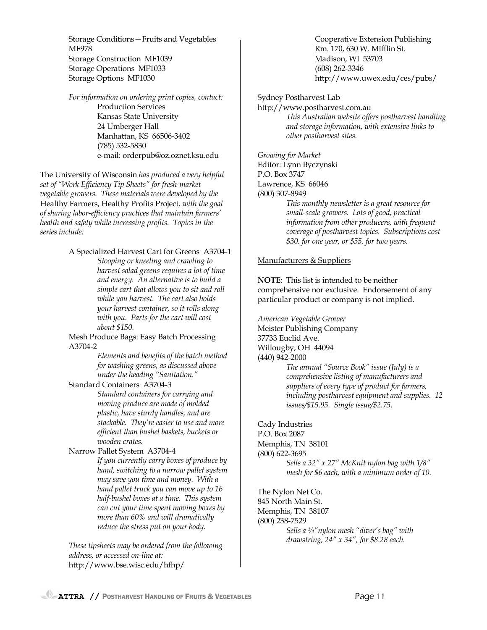Storage Conditions—Fruits and Vegetables MF978 Storage Construction MF1039 Storage Operations MF1033 Storage Options MF1030

*For information on ordering print copies, contact:* Production Services Kansas State University 24 Umberger Hall Manhattan, KS 66506-3402 (785) 532-5830 e-mail: orderpub@oz.oznet.ksu.edu

The University of Wisconsin *has produced a very helpful set of "Work Efficiency Tip Sheets" for fresh-market vegetable growers. These materials were developed by the* Healthy Farmers, Healthy Profits Project*, with the goal of sharing labor-efficiency practices that maintain farmers' health and safety while increasing profits. Topics in the series include:*

A Specialized Harvest Cart for Greens A3704-1

*Stooping or kneeling and crawling to harvest salad greens requires a lot of time and energy. An alternative is to build a simple cart that allows you to sit and roll while you harvest. The cart also holds your harvest container, so it rolls along with you. Parts for the cart will cost about \$150.*

Mesh Produce Bags: Easy Batch Processing A3704-2

> *Elements and benefits of the batch method for washing greens, as discussed above under the heading "Sanitation."*

Standard Containers A3704-3

*Standard containers for carrying and moving produce are made of molded plastic, have sturdy handles, and are stackable. They're easier to use and more efficient than bushel baskets, buckets or wooden crates.*

Narrow Pallet System A3704-4

*If you currently carry boxes of produce by hand, switching to a narrow pallet system may save you time and money. With a hand pallet truck you can move up to 16 half-bushel boxes at a time. This system can cut your time spent moving boxes by more than 60% and will dramatically reduce the stress put on your body.*

*These tipsheets may be ordered from the following address, or accessed on-line at:* http://www.bse.wisc.edu/hfhp/

Cooperative Extension Publishing Rm. 170, 630 W. Mifflin St. Madison, WI 53703 (608) 262-3346 http://www.uwex.edu/ces/pubs/

Sydney Postharvest Lab http://www.postharvest.com.au *This Australian website offers postharvest handling and storage information, with extensive links to other postharvest sites.*

*Growing for Market* Editor: Lynn Byczynski P.O. Box 3747 Lawrence, KS 66046 (800) 307-8949

*This monthly newsletter is a great resource for small-scale growers. Lots of good, practical information from other producers, with frequent coverage of postharvest topics. Subscriptions cost \$30. for one year, or \$55. for two years.*

#### Manufacturers & Suppliers

**NOTE**: This list is intended to be neither comprehensive nor exclusive. Endorsement of any particular product or company is not implied.

*American Vegetable Grower* Meister Publishing Company 37733 Euclid Ave. Willougby, OH 44094 (440) 942-2000

*The annual "Source Book" issue (July) is a comprehensive listing of manufacturers and suppliers of every type of product for farmers, including postharvest equipment and supplies. 12 issues/\$15.95. Single issue/\$2.75.*

Cady Industries P.O. Box 2087 Memphis, TN 38101 (800) 622-3695 *Sells a 32" x 27" McKnit nylon bag with 1/8" mesh for \$6 each, with a minimum order of 10.*

The Nylon Net Co. 845 North Main St. Memphis, TN 38107 (800) 238-7529 *Sells a ¼"nylon mesh "diver's bag" with drawstring, 24" x 34", for \$8.28 each.*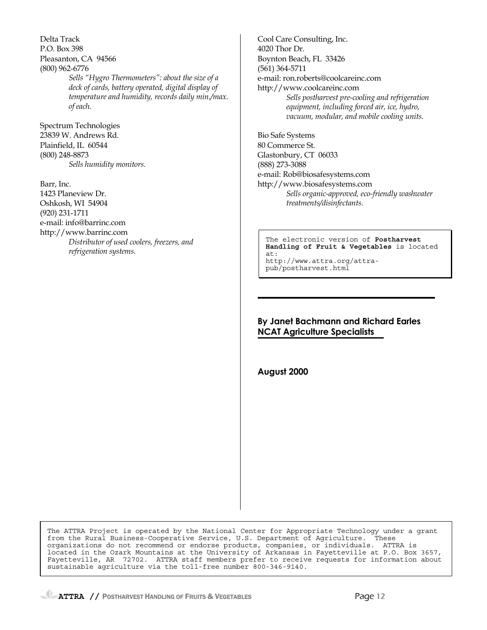Delta Track P.O. Box 398 Pleasanton, CA 94566 (800) 962-6776 *Sells "Hygro Thermometers": about the size of a deck of cards, battery operated, digital display of temperature and humidity, records daily min./max. of each.*

Spectrum Technologies 23839 W. Andrews Rd. Plainfield, IL 60544 (800) 248-8873 *Sells humidity monitors.*

Barr, Inc. 1423 Planeview Dr. Oshkosh, WI 54904 (920) 231-1711 e-mail: info@barrinc.com http://www.barrinc.com *Distributor of used coolers, freezers, and refrigeration systems.*

Cool Care Consulting, Inc. 4020 Thor Dr. Boynton Beach, FL 33426 (561) 364-5711 e-mail: ron.roberts@coolcareinc.com http://www.coolcareinc.com *Sells postharvest pre-cooling and refrigeration equipment, including forced air, ice, hydro, vacuum, modular, and mobile cooling units.*

Bio Safe Systems 80 Commerce St. Glastonbury, CT 06033 (888) 273-3088 e-mail: Rob@biosafesystems.com http://www.biosafesystems.com *Sells organic-approved, eco-friendly washwater treatments/disinfectants.*

The electronic version of **Postharvest Handling of Fruit & Vegetables** is located at: http://www.attra.org/attra-

#### **By Janet Bachmann and Richard Earles NCAT Agriculture Specialists**

**August 2000**

pub/postharvest.html

The ATTRA Project is operated by the National Center for Appropriate Technology under a grant from the Rural Business-Cooperative Service, U.S. Department of Agriculture. These organizations do not recommend or endorse products, companies, or individuals. ATTRA is located in the Ozark Mountains at the University of Arkansas in Fayetteville at P.O. Box 3657, Fayetteville, AR 72702. ATTRA staff members prefer to receive requests for information about sustainable agriculture via the toll-free number 800-346-9140.

**ATTRA // POSTHARVEST HANDLING OF FRUITS & VEGETABLES** Page 12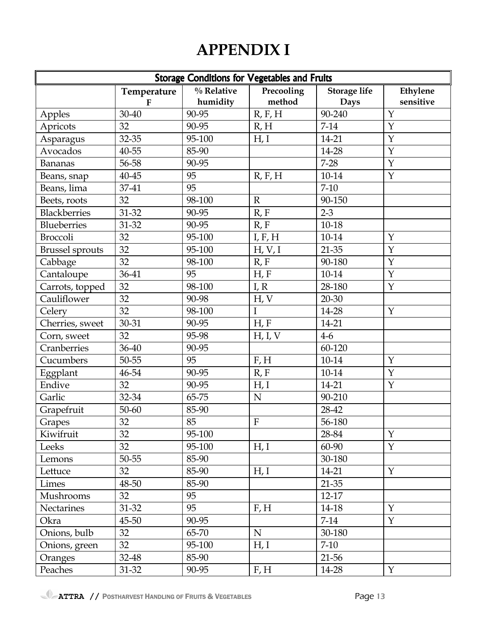# **APPENDIX I**

| <b>Storage Conditions for Vegetables and Fruits</b> |                  |                          |                      |                                    |                       |
|-----------------------------------------------------|------------------|--------------------------|----------------------|------------------------------------|-----------------------|
|                                                     | Temperature<br>F | $%$ Relative<br>humidity | Precooling<br>method | <b>Storage life</b><br><b>Days</b> | Ethylene<br>sensitive |
| Apples                                              | 30-40            | 90-95                    | R, F, H              | 90-240                             | $\mathbf Y$           |
| Apricots                                            | 32               | 90-95                    | R, H                 | $7-14$                             | Y                     |
| Asparagus                                           | 32-35            | 95-100                   | H, I                 | 14-21                              | $\mathbf{Y}$          |
| Avocados                                            | 40-55            | 85-90                    |                      | 14-28                              | $\mathbf Y$           |
| <b>Bananas</b>                                      | 56-58            | 90-95                    |                      | $7-28$                             | $\mathbf Y$           |
| Beans, snap                                         | 40-45            | 95                       | R, F, H              | 10-14                              | $\mathbf Y$           |
| Beans, lima                                         | 37-41            | 95                       |                      | $7 - 10$                           |                       |
| Beets, roots                                        | 32               | 98-100                   | $\mathbb{R}$         | 90-150                             |                       |
| <b>Blackberries</b>                                 | 31-32            | 90-95                    | R, F                 | $2-3$                              |                       |
| <b>Blueberries</b>                                  | 31-32            | 90-95                    | R, F                 | $10-18$                            |                       |
| <b>Broccoli</b>                                     | 32               | 95-100                   | I, F, H              | 10-14                              | $\mathbf Y$           |
| <b>Brussel</b> sprouts                              | 32               | 95-100                   | H, V, I              | 21-35                              | $\mathbf Y$           |
| Cabbage                                             | 32               | 98-100                   | R, F                 | 90-180                             | Y                     |
| Cantaloupe                                          | 36-41            | 95                       | H, F                 | 10-14                              | $\overline{Y}$        |
| Carrots, topped                                     | 32               | 98-100                   | I, R                 | 28-180                             | $\mathbf Y$           |
| Cauliflower                                         | 32               | 90-98                    | H, V                 | 20-30                              |                       |
| Celery                                              | 32               | 98-100                   | $\overline{I}$       | 14-28                              | $\mathbf Y$           |
| Cherries, sweet                                     | 30-31            | 90-95                    | H, F                 | 14-21                              |                       |
| Corn, sweet                                         | 32               | 95-98                    | H, I, V              | $4-6$                              |                       |
| Cranberries                                         | 36-40            | 90-95                    |                      | 60-120                             |                       |
| Cucumbers                                           | 50-55            | 95                       | F, H                 | 10-14                              | Y                     |
| Eggplant                                            | 46-54            | 90-95                    | R, F                 | $10 - 14$                          | $\overline{Y}$        |
| Endive                                              | 32               | 90-95                    | H, I                 | 14-21                              | $\mathbf Y$           |
| Garlic                                              | 32-34            | 65-75                    | ${\bf N}$            | 90-210                             |                       |
| Grapefruit                                          | $50 - 60$        | 85-90                    |                      | 28-42                              |                       |
| Grapes                                              | 32               | 85                       | ${\bf F}$            | 56-180                             |                       |
| Kiwifruit                                           | 32               | 95-100                   |                      | 28-84                              | Y                     |
| Leeks                                               | 32               | 95-100                   | H, I                 | 60-90                              | Y                     |
| Lemons                                              | 50-55            | 85-90                    |                      | 30-180                             |                       |
| Lettuce                                             | 32               | 85-90                    | H, I                 | 14-21                              | Y                     |
| Limes                                               | 48-50            | 85-90                    |                      | 21-35                              |                       |
| Mushrooms                                           | 32               | 95                       |                      | 12-17                              |                       |
| Nectarines                                          | 31-32            | 95                       | F, H                 | 14-18                              | Y                     |
| Okra                                                | 45-50            | 90-95                    |                      | $7-14$                             | Y                     |
| Onions, bulb                                        | 32               | 65-70                    | ${\bf N}$            | 30-180                             |                       |
| Onions, green                                       | 32               | 95-100                   | H, I                 | $7 - 10$                           |                       |
| Oranges                                             | 32-48            | 85-90                    |                      | 21-56                              |                       |
| Peaches                                             | 31-32            | 90-95                    | F, H                 | 14-28                              | $\mathbf Y$           |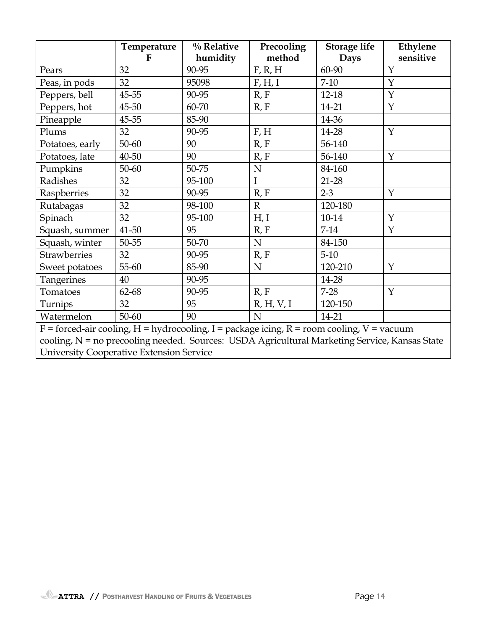|                                                                                               | Temperature | % Relative | Precooling   | <b>Storage life</b> | Ethylene    |
|-----------------------------------------------------------------------------------------------|-------------|------------|--------------|---------------------|-------------|
|                                                                                               | F           | humidity   | method       | Days                | sensitive   |
| Pears                                                                                         | 32          | 90-95      | F, R, H      | 60-90               | Y           |
| Peas, in pods                                                                                 | 32          | 95098      | F, H, I      | $7-10$              | Y           |
| Peppers, bell                                                                                 | 45-55       | 90-95      | R, F         | 12-18               | Y           |
| Peppers, hot                                                                                  | 45-50       | 60-70      | R, F         | 14-21               | $\mathbf Y$ |
| Pineapple                                                                                     | 45-55       | 85-90      |              | 14-36               |             |
| Plums                                                                                         | 32          | 90-95      | F, H         | 14-28               | $\mathbf Y$ |
| Potatoes, early                                                                               | $50 - 60$   | 90         | R, F         | 56-140              |             |
| Potatoes, late                                                                                | 40-50       | 90         | R, F         | 56-140              | Y           |
| Pumpkins                                                                                      | $50 - 60$   | 50-75      | ${\bf N}$    | 84-160              |             |
| Radishes                                                                                      | 32          | 95-100     | $\mathbf I$  | $21 - 28$           |             |
| Raspberries                                                                                   | 32          | 90-95      | R, F         | $2 - 3$             | $\mathbf Y$ |
| Rutabagas                                                                                     | 32          | 98-100     | $\mathbb{R}$ | 120-180             |             |
| Spinach                                                                                       | 32          | 95-100     | H, I         | 10-14               | Y           |
| Squash, summer                                                                                | 41-50       | 95         | R, F         | $7-14$              | Y           |
| Squash, winter                                                                                | 50-55       | 50-70      | ${\bf N}$    | 84-150              |             |
| Strawberries                                                                                  | 32          | 90-95      | R, F         | $5 - 10$            |             |
| Sweet potatoes                                                                                | 55-60       | 85-90      | ${\bf N}$    | 120-210             | Y           |
| Tangerines                                                                                    | 40          | 90-95      |              | 14-28               |             |
| Tomatoes                                                                                      | 62-68       | 90-95      | R, F         | $7-28$              | $\mathbf Y$ |
| Turnips                                                                                       | 32          | 95         | R, H, V, I   | 120-150             |             |
| Watermelon                                                                                    | 50-60       | 90         | N            | 14-21               |             |
| F = forced-air cooling, H = hydrocooling, I = package icing, R = room cooling, V = vacuum     |             |            |              |                     |             |
| cooling, N = no precooling needed. Sources: USDA Agricultural Marketing Service, Kansas State |             |            |              |                     |             |
| <b>University Cooperative Extension Service</b>                                               |             |            |              |                     |             |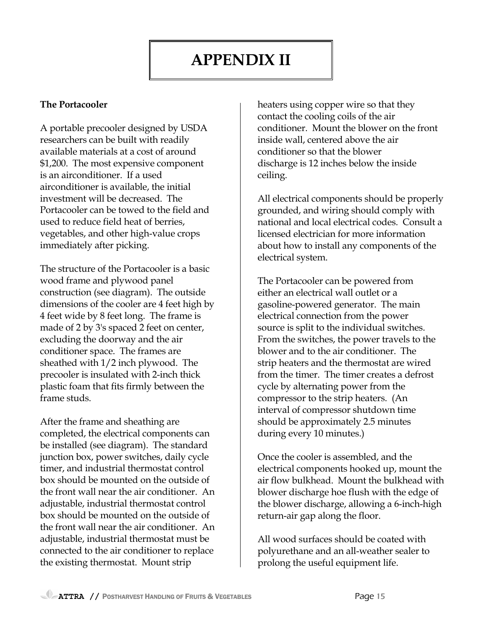# **APPENDIX II**

# **The Portacooler**

A portable precooler designed by USDA researchers can be built with readily available materials at a cost of around \$1,200. The most expensive component is an airconditioner. If a used airconditioner is available, the initial investment will be decreased. The Portacooler can be towed to the field and used to reduce field heat of berries, vegetables, and other high-value crops immediately after picking.

The structure of the Portacooler is a basic wood frame and plywood panel construction (see diagram). The outside dimensions of the cooler are 4 feet high by 4 feet wide by 8 feet long. The frame is made of 2 by 3's spaced 2 feet on center, excluding the doorway and the air conditioner space. The frames are sheathed with 1/2 inch plywood. The precooler is insulated with 2-inch thick plastic foam that fits firmly between the frame studs.

After the frame and sheathing are completed, the electrical components can be installed (see diagram). The standard junction box, power switches, daily cycle timer, and industrial thermostat control box should be mounted on the outside of the front wall near the air conditioner. An adjustable, industrial thermostat control box should be mounted on the outside of the front wall near the air conditioner. An adjustable, industrial thermostat must be connected to the air conditioner to replace the existing thermostat. Mount strip

heaters using copper wire so that they contact the cooling coils of the air conditioner. Mount the blower on the front inside wall, centered above the air conditioner so that the blower discharge is 12 inches below the inside ceiling.

All electrical components should be properly grounded, and wiring should comply with national and local electrical codes. Consult a licensed electrician for more information about how to install any components of the electrical system.

The Portacooler can be powered from either an electrical wall outlet or a gasoline-powered generator. The main electrical connection from the power source is split to the individual switches. From the switches, the power travels to the blower and to the air conditioner. The strip heaters and the thermostat are wired from the timer. The timer creates a defrost cycle by alternating power from the compressor to the strip heaters. (An interval of compressor shutdown time should be approximately 2.5 minutes during every 10 minutes.)

Once the cooler is assembled, and the electrical components hooked up, mount the air flow bulkhead. Mount the bulkhead with blower discharge hoe flush with the edge of the blower discharge, allowing a 6-inch-high return-air gap along the floor.

All wood surfaces should be coated with polyurethane and an all-weather sealer to prolong the useful equipment life.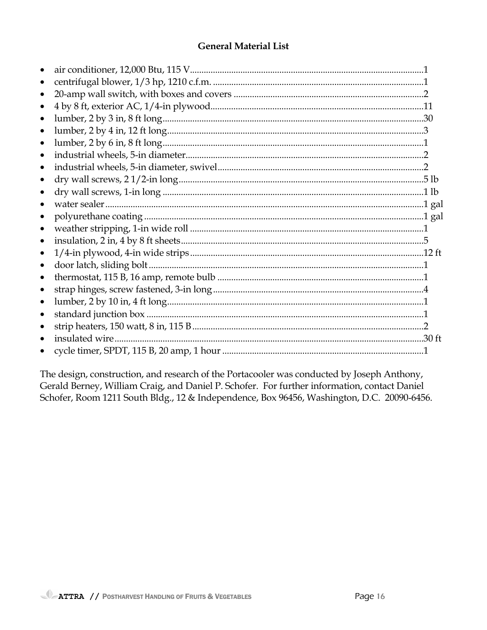# **General Material List**

The design, construction, and research of the Portacooler was conducted by Joseph Anthony, Gerald Berney, William Craig, and Daniel P. Schofer. For further information, contact Daniel Schofer, Room 1211 South Bldg., 12 & Independence, Box 96456, Washington, D.C. 20090-6456.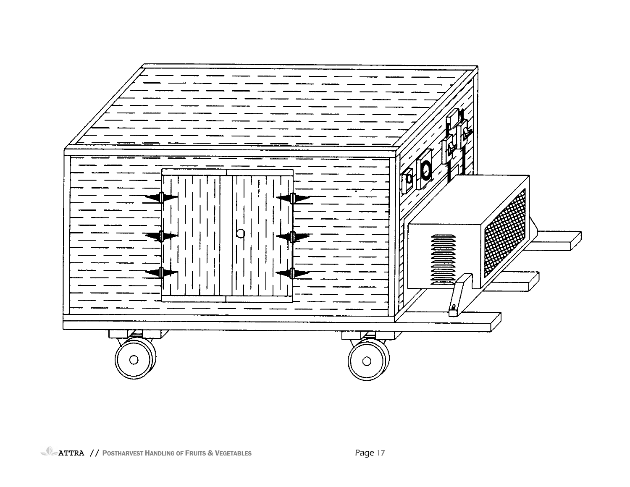

**ATTRA // POSTHARVEST HANDLING OF FRUITS & VEGETABLES** Page 17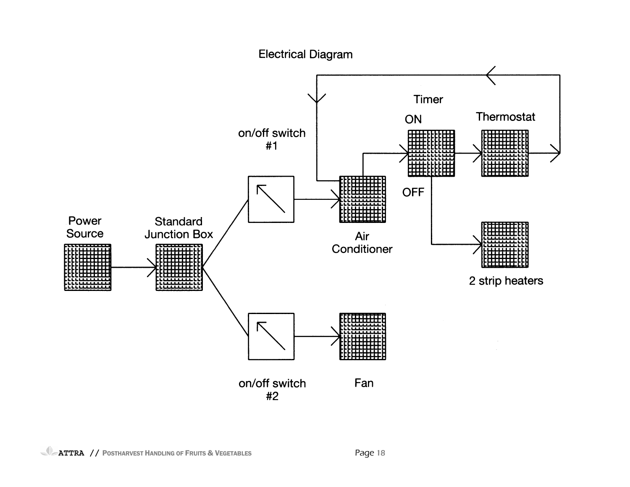